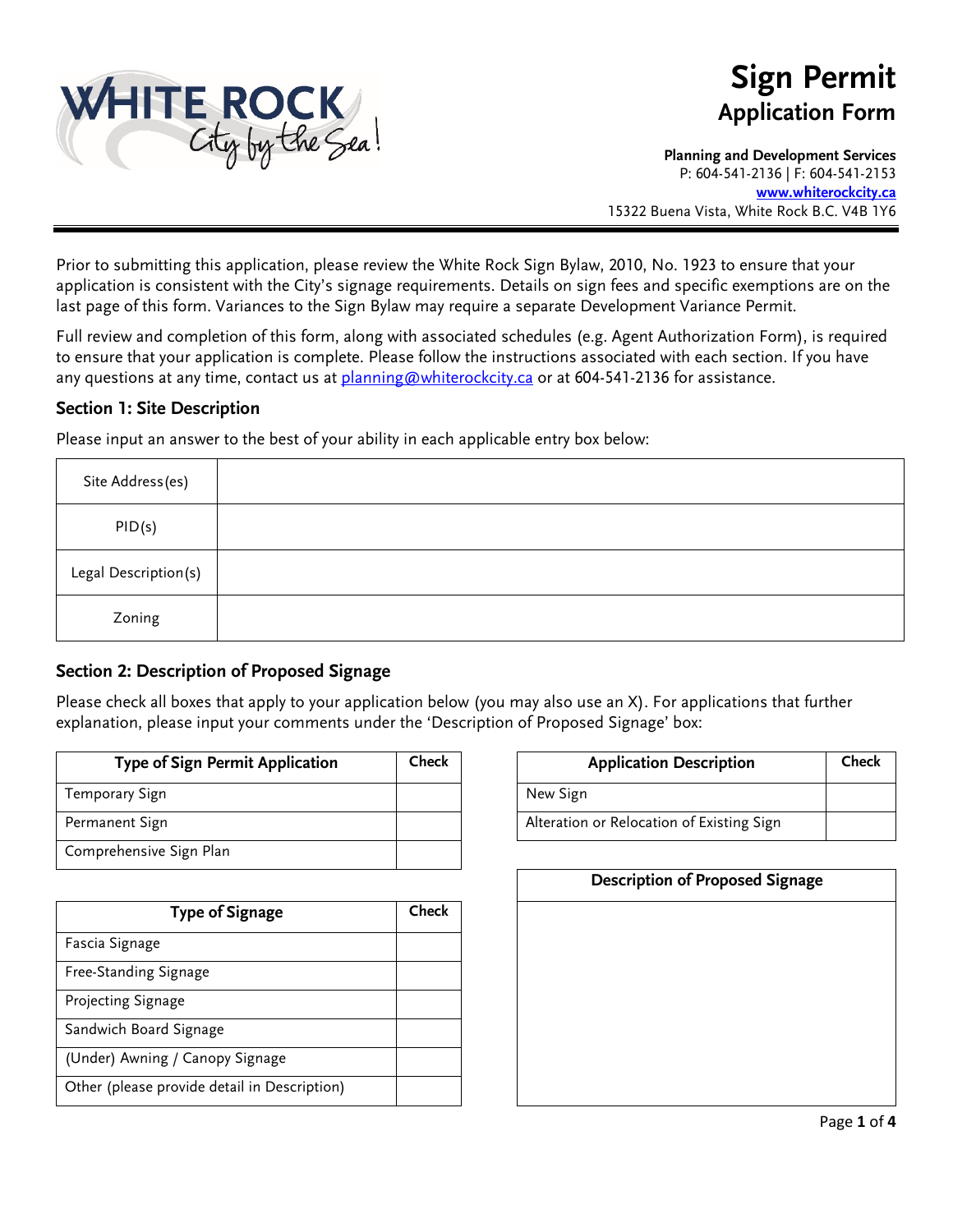

# **Sign Permit Application Form**

**Planning and Development Services**  P: 604-541-2136 | F: 604-541-2153 **[www.whiterockcity.ca](http://www.whiterockcity.ca/)**

15322 Buena Vista, White Rock B.C. V4B 1Y6

Prior to submitting this application, please review the White Rock Sign Bylaw, 2010, No. 1923 to ensure that your application is consistent with the City's signage requirements. Details on sign fees and specific exemptions are on the last page of this form. Variances to the Sign Bylaw may require a separate Development Variance Permit.

Full review and completion of this form, along with associated schedules (e.g. Agent Authorization Form), is required to ensure that your application is complete. Please follow the instructions associated with each section. If you have any questions at any time, contact us at [planning@whiterockcity.ca](mailto:planning@whiterockcity.ca) or at 604-541-2136 for assistance.

#### **Section 1: Site Description**

Please input an answer to the best of your ability in each applicable entry box below:

| Site Address(es)     |  |
|----------------------|--|
| PID(s)               |  |
| Legal Description(s) |  |
| Zoning               |  |

#### **Section 2: Description of Proposed Signage**

Please check all boxes that apply to your application below (you may also use an X). For applications that further explanation, please input your comments under the 'Description of Proposed Signage' box:

| <b>Type of Sign Permit Application</b> | Check | <b>Application Description</b>            |
|----------------------------------------|-------|-------------------------------------------|
| Temporary Sign                         |       | New Sign                                  |
| Permanent Sign                         |       | Alteration or Relocation of Existing Sign |
| Comprehensive Sign Plan                |       |                                           |

| <b>Type of Signage</b>                       | Check |
|----------------------------------------------|-------|
| Fascia Signage                               |       |
| Free-Standing Signage                        |       |
| Projecting Signage                           |       |
| Sandwich Board Signage                       |       |
| (Under) Awning / Canopy Signage              |       |
| Other (please provide detail in Description) |       |

| Check<br>Type of Sign Permit Application |  | <b>Application Description</b>            | Check |
|------------------------------------------|--|-------------------------------------------|-------|
| ary Sign                                 |  | New Sign                                  |       |
| ent Sign                                 |  | Alteration or Relocation of Existing Sign |       |

| <b>Description of Proposed Signage</b> |  |  |
|----------------------------------------|--|--|
|                                        |  |  |
|                                        |  |  |
|                                        |  |  |
|                                        |  |  |
|                                        |  |  |
|                                        |  |  |
|                                        |  |  |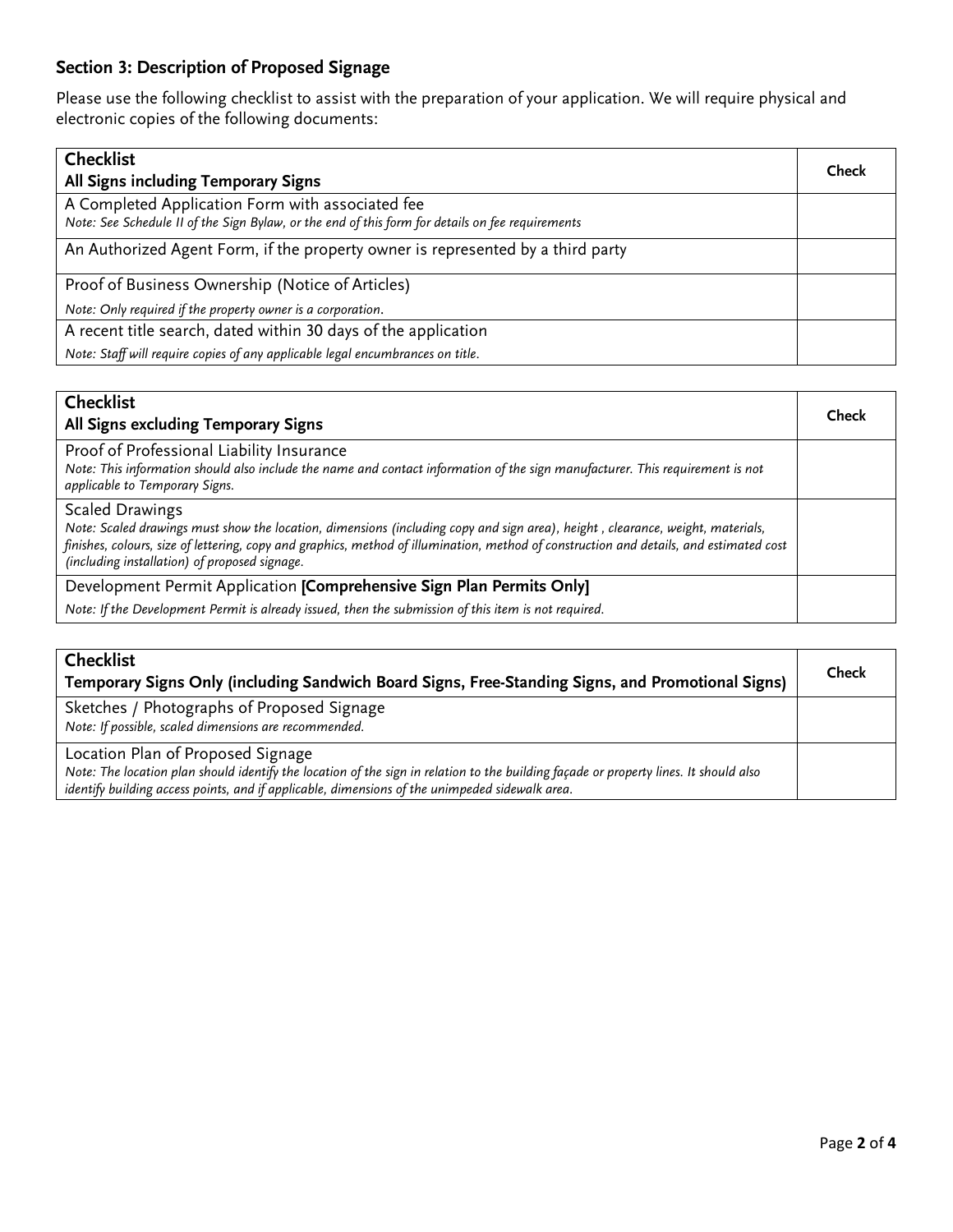### **Section 3: Description of Proposed Signage**

Please use the following checklist to assist with the preparation of your application. We will require physical and electronic copies of the following documents:

| <b>Checklist</b>                                                                                                                                     | Check |  |
|------------------------------------------------------------------------------------------------------------------------------------------------------|-------|--|
| All Signs including Temporary Signs                                                                                                                  |       |  |
| A Completed Application Form with associated fee<br>Note: See Schedule II of the Sign Bylaw, or the end of this form for details on fee requirements |       |  |
| An Authorized Agent Form, if the property owner is represented by a third party                                                                      |       |  |
| Proof of Business Ownership (Notice of Articles)                                                                                                     |       |  |
| Note: Only required if the property owner is a corporation.                                                                                          |       |  |
| A recent title search, dated within 30 days of the application                                                                                       |       |  |
| Note: Staff will require copies of any applicable legal encumbrances on title.                                                                       |       |  |

| Check |
|-------|
|       |
|       |
|       |
|       |

| <b>Checklist</b><br>Temporary Signs Only (including Sandwich Board Signs, Free-Standing Signs, and Promotional Signs)                                                                                                                                                        |  |
|------------------------------------------------------------------------------------------------------------------------------------------------------------------------------------------------------------------------------------------------------------------------------|--|
| Sketches / Photographs of Proposed Signage<br>Note: If possible, scaled dimensions are recommended.                                                                                                                                                                          |  |
| Location Plan of Proposed Signage<br>Note: The location plan should identify the location of the sign in relation to the building façade or property lines. It should also<br>identify building access points, and if applicable, dimensions of the unimpeded sidewalk area. |  |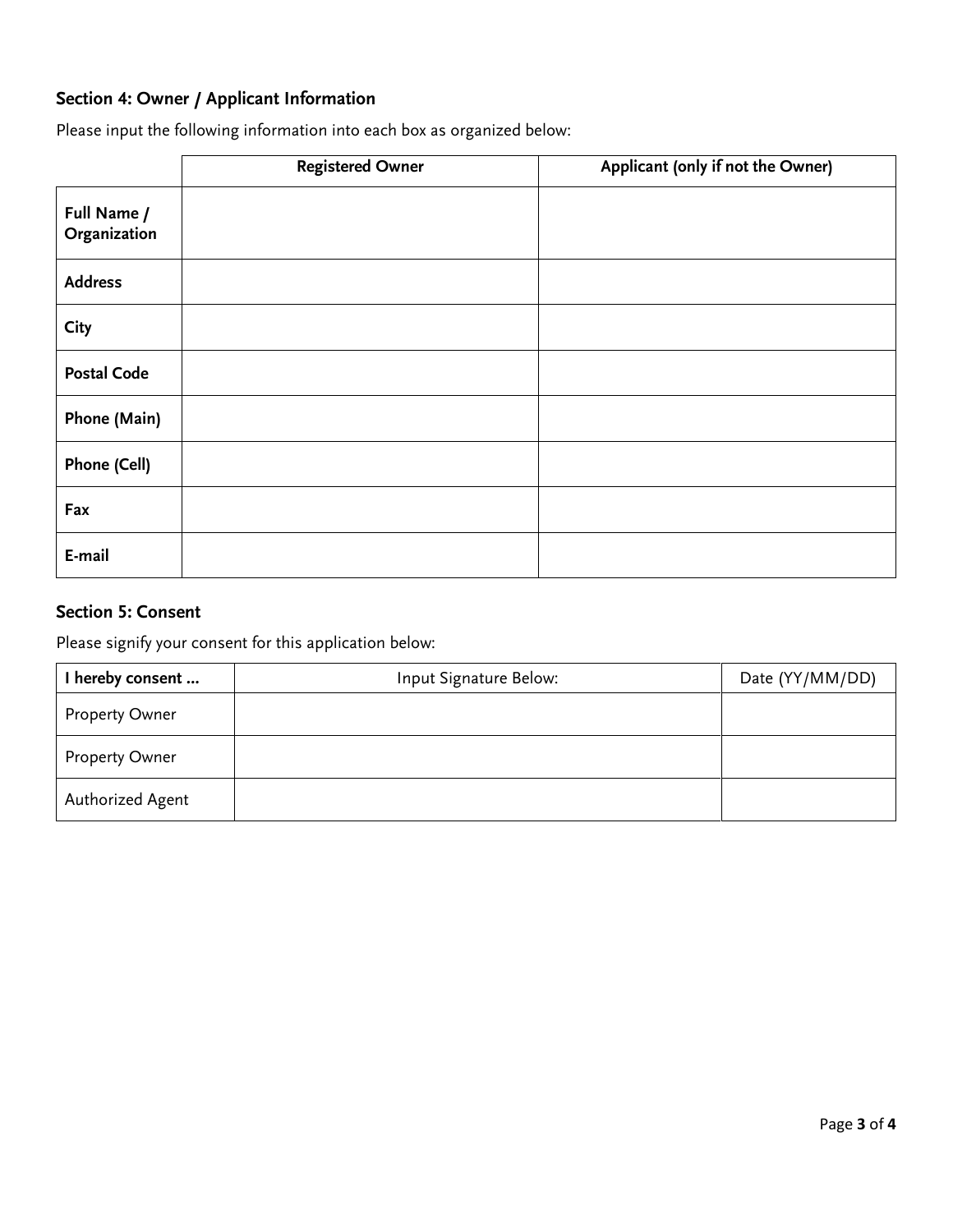### **Section 4: Owner / Applicant Information**

Please input the following information into each box as organized below:

|                             | <b>Registered Owner</b> | Applicant (only if not the Owner) |
|-----------------------------|-------------------------|-----------------------------------|
| Full Name /<br>Organization |                         |                                   |
| <b>Address</b>              |                         |                                   |
| <b>City</b>                 |                         |                                   |
| <b>Postal Code</b>          |                         |                                   |
| Phone (Main)                |                         |                                   |
| Phone (Cell)                |                         |                                   |
| Fax                         |                         |                                   |
| E-mail                      |                         |                                   |

#### **Section 5: Consent**

Please signify your consent for this application below:

| I hereby consent      | Input Signature Below: | Date (YY/MM/DD) |
|-----------------------|------------------------|-----------------|
| <b>Property Owner</b> |                        |                 |
| Property Owner        |                        |                 |
| Authorized Agent      |                        |                 |